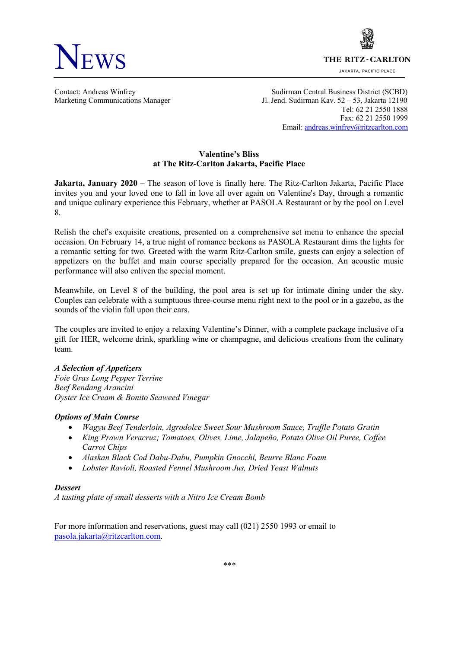



JAKARTA, PACIFIC PLACE

Contact: Andreas Winfrey Sudirman Central Business District (SCBD) Marketing Communications Manager Jl. Jend. Sudirman Kav. 52 – 53, Jakarta 12190 Tel: 62 21 2550 1888 Fax: 62 21 2550 1999 Email: andreas.winfrey@ritzcarlton.com

## **Valentine's Bliss at The Ritz-Carlton Jakarta, Pacific Place**

**Jakarta, January 2020 –** The season of love is finally here. The Ritz-Carlton Jakarta, Pacific Place invites you and your loved one to fall in love all over again on Valentine's Day, through a romantic and unique culinary experience this February, whether at PASOLA Restaurant or by the pool on Level 8.

Relish the chef's exquisite creations, presented on a comprehensive set menu to enhance the special occasion. On February 14, a true night of romance beckons as PASOLA Restaurant dims the lights for a romantic setting for two. Greeted with the warm Ritz-Carlton smile, guests can enjoy a selection of appetizers on the buffet and main course specially prepared for the occasion. An acoustic music performance will also enliven the special moment.

Meanwhile, on Level 8 of the building, the pool area is set up for intimate dining under the sky. Couples can celebrate with a sumptuous three-course menu right next to the pool or in a gazebo, as the sounds of the violin fall upon their ears.

The couples are invited to enjoy a relaxing Valentine's Dinner, with a complete package inclusive of a gift for HER, welcome drink, sparkling wine or champagne, and delicious creations from the culinary team.

### *A Selection of Appetizers*

*Foie Gras Long Pepper Terrine Beef Rendang Arancini Oyster Ice Cream & Bonito Seaweed Vinegar*

### *Options of Main Course*

- *Wagyu Beef Tenderloin, Agrodolce Sweet Sour Mushroom Sauce, Truffle Potato Gratin*
- *King Prawn Veracruz; Tomatoes, Olives, Lime, Jalapeño, Potato Olive Oil Puree, Coffee Carrot Chips*
- *Alaskan Black Cod Dabu-Dabu, Pumpkin Gnocchi, Beurre Blanc Foam*
- *Lobster Ravioli, Roasted Fennel Mushroom Jus, Dried Yeast Walnuts*

### *Dessert*

*A tasting plate of small desserts with a Nitro Ice Cream Bomb*

For more information and reservations, guest may call (021) 2550 1993 or email to pasola.jakarta@ritzcarlton.com.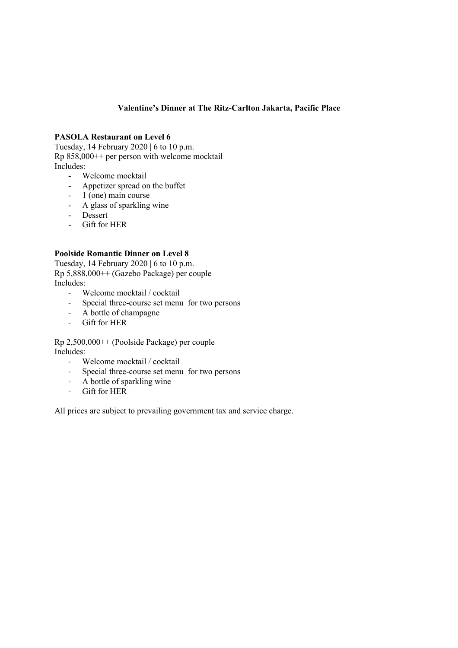# **Valentine's Dinner at The Ritz-Carlton Jakarta, Pacific Place**

## **PASOLA Restaurant on Level 6**

Tuesday, 14 February 2020 | 6 to 10 p.m. Rp 858,000++ per person with welcome mocktail Includes:

- Welcome mocktail
- Appetizer spread on the buffet
- 1 (one) main course
- A glass of sparkling wine
- Dessert
- Gift for HER

## **Poolside Romantic Dinner on Level 8**

Tuesday, 14 February 2020 | 6 to 10 p.m. Rp 5,888,000++ (Gazebo Package) per couple Includes:

- Welcome mocktail / cocktail
- Special three-course set menu for two persons
- A bottle of champagne
- Gift for HER

Rp 2,500,000++ (Poolside Package) per couple Includes:

- Welcome mocktail / cocktail
- Special three-course set menu for two persons
- A bottle of sparkling wine
- Gift for HER

All prices are subject to prevailing government tax and service charge.